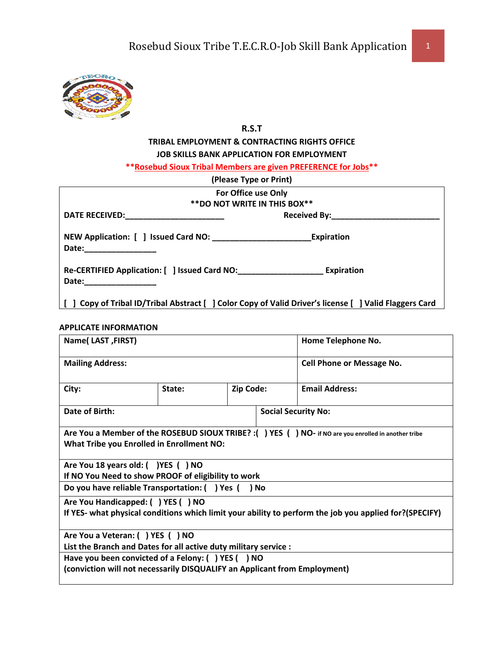

## **R.S.T**

## **TRIBAL EMPLOYMENT & CONTRACTING RIGHTS OFFICE JOB SKILLS BANK APPLICATION FOR EMPLOYMENT**

**\*\*Rosebud Sioux Tribal Members are given PREFERENCE for Jobs\*\***

| (Please Type or Print)                                                                                                                                                                                                        |                   |
|-------------------------------------------------------------------------------------------------------------------------------------------------------------------------------------------------------------------------------|-------------------|
| For Office use Only                                                                                                                                                                                                           |                   |
| ** DO NOT WRITE IN THIS BOX**                                                                                                                                                                                                 |                   |
|                                                                                                                                                                                                                               |                   |
|                                                                                                                                                                                                                               | <b>Expiration</b> |
| Re-CERTIFIED Application: [ ] Issued Card NO: Expiration                                                                                                                                                                      |                   |
| Date: will be a series of the series of the series of the series of the series of the series of the series of the series of the series of the series of the series of the series of the series of the series of the series of |                   |
| [ ] Copy of Tribal ID/Tribal Abstract [ ] Color Copy of Valid Driver's license [ ] Valid Flaggers Card                                                                                                                        |                   |

#### **APPLICATE INFORMATION**

| Name(LAST, FIRST)                                                                                                                                 |                     |  |  | Home Telephone No.                                                                                     |  |
|---------------------------------------------------------------------------------------------------------------------------------------------------|---------------------|--|--|--------------------------------------------------------------------------------------------------------|--|
| <b>Mailing Address:</b>                                                                                                                           |                     |  |  | <b>Cell Phone or Message No.</b>                                                                       |  |
| City:                                                                                                                                             | Zip Code:<br>State: |  |  | <b>Email Address:</b>                                                                                  |  |
| Date of Birth:                                                                                                                                    |                     |  |  | <b>Social Security No:</b>                                                                             |  |
| Are You a Member of the ROSEBUD SIOUX TRIBE? : () YES () NO- if NO are you enrolled in another tribe<br>What Tribe you Enrolled in Enrollment NO: |                     |  |  |                                                                                                        |  |
| Are You 18 years old: ( )YES ( ) NO                                                                                                               |                     |  |  |                                                                                                        |  |
| If NO You Need to show PROOF of eligibility to work<br>Do you have reliable Transportation: () Yes () No                                          |                     |  |  |                                                                                                        |  |
| Are You Handicapped: ( ) YES ( ) NO                                                                                                               |                     |  |  | If YES- what physical conditions which limit your ability to perform the job you applied for?(SPECIFY) |  |
| Are You a Veteran: ( ) YES ( ) NO                                                                                                                 |                     |  |  |                                                                                                        |  |
| List the Branch and Dates for all active duty military service :                                                                                  |                     |  |  |                                                                                                        |  |
| Have you been convicted of a Felony: () YES () NO                                                                                                 |                     |  |  |                                                                                                        |  |
| (conviction will not necessarily DISQUALIFY an Applicant from Employment)                                                                         |                     |  |  |                                                                                                        |  |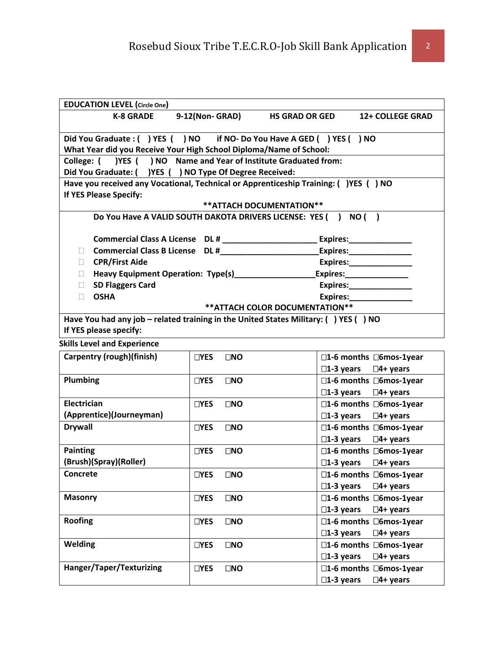| <b>EDUCATION LEVEL (Circle One)</b>                                                   |                            |                                                                                                |                                           |
|---------------------------------------------------------------------------------------|----------------------------|------------------------------------------------------------------------------------------------|-------------------------------------------|
| <b>K-8 GRADE</b>                                                                      | 9-12(Non-GRAD)             | <b>HS GRAD OR GED</b>                                                                          | <b>12+ COLLEGE GRAD</b>                   |
| Did You Graduate: ( ) YES ( ) NO if NO- Do You Have A GED ( ) YES ( ) NO              |                            |                                                                                                |                                           |
| What Year did you Receive Your High School Diploma/Name of School:                    |                            |                                                                                                |                                           |
| College: ( ) YES ( ) NO Name and Year of Institute Graduated from:                    |                            |                                                                                                |                                           |
| Did You Graduate: ( ) YES ( ) NO Type Of Degree Received:                             |                            |                                                                                                |                                           |
| Have you received any Vocational, Technical or Apprenticeship Training: ( )YES ( ) NO |                            |                                                                                                |                                           |
| If YES Please Specify:                                                                |                            |                                                                                                |                                           |
|                                                                                       |                            | ** ATTACH DOCUMENTATION **                                                                     |                                           |
|                                                                                       |                            | Do You Have A VALID SOUTH DAKOTA DRIVERS LICENSE: YES () NO ()                                 |                                           |
|                                                                                       |                            | Commercial Class A License DL # _ _ _ _ _ _ _ _ _ _ _ _ _ _ _ _ Expires: _ _ _ _ _ _ _ _ _ _ _ |                                           |
| $\Box$                                                                                |                            |                                                                                                |                                           |
| <b>CPR/First Aide</b><br>$\Box$                                                       |                            |                                                                                                | Expires:_________________                 |
| $\Box$                                                                                |                            |                                                                                                | Expires:________________                  |
| <b>SD Flaggers Card</b><br>П                                                          |                            |                                                                                                | Expires:_________________                 |
| <b>OSHA</b><br>П                                                                      |                            |                                                                                                | Expires: Expires:                         |
|                                                                                       |                            | ** ATTACH COLOR DOCUMENTATION **                                                               |                                           |
| Have You had any job - related training in the United States Military: () YES () NO   |                            |                                                                                                |                                           |
| If YES please specify:                                                                |                            |                                                                                                |                                           |
| <b>Skills Level and Experience</b>                                                    |                            |                                                                                                |                                           |
| Carpentry (rough)(finish)                                                             | $\Box$ YES<br>$\square$ NO |                                                                                                | $\square$ 1-6 months $\square$ 6mos-1year |
|                                                                                       |                            |                                                                                                | $\square$ 1-3 years $\square$ 4+ years    |
| Plumbing                                                                              | $\square$ NO<br>$\Box$ YES |                                                                                                | □1-6 months □6mos-1year                   |
|                                                                                       |                            | $\square$ 1-3 years                                                                            | □4+ years                                 |
| Electrician                                                                           | $\Box$ YES<br>$\square$ NO |                                                                                                | □1-6 months □6mos-1year                   |
| (Apprentice)(Journeyman)                                                              |                            | $\square$ 1-3 years                                                                            | $\square$ 4+ years                        |
| <b>Drywall</b>                                                                        | $\Box$ YES<br>$\square$ NO |                                                                                                | □1-6 months □6mos-1year                   |
|                                                                                       |                            | $\square$ 1-3 years                                                                            | $\square$ 4+ years                        |
| <b>Painting</b>                                                                       | $\Box$ YES<br>$\square$ NO |                                                                                                | □1-6 months □6mos-1year                   |
| (Brush)(Spray)(Roller)                                                                |                            |                                                                                                | $\square$ 1-3 years $\square$ 4+ years    |
| Concrete                                                                              | $\square$ NO<br>$\Box$ YES |                                                                                                | □1-6 months □6mos-1year                   |
|                                                                                       |                            | $\square$ 1-3 years                                                                            | $\square$ 4+ years                        |
| <b>Masonry</b>                                                                        | $\Box$ YES<br>$\square$ NO |                                                                                                | □1-6 months □6mos-1year                   |
|                                                                                       |                            | $\square$ 1-3 years                                                                            | $\square$ 4+ years                        |
| <b>Roofing</b>                                                                        | $\Box$ YES<br>$\square$ NO |                                                                                                | □1-6 months □6mos-1year                   |
|                                                                                       |                            | $\square$ 1-3 years                                                                            | $\square$ 4+ years                        |
| Welding                                                                               | $\square$ NO<br>$\Box$ YES |                                                                                                | □1-6 months □6mos-1year                   |
|                                                                                       |                            | $\square$ 1-3 years                                                                            | $\square$ 4+ years                        |

**Hanger/Taper/Texturizing YES NO 1-6 months 6mos-1year**

**1-3 years 4+ years**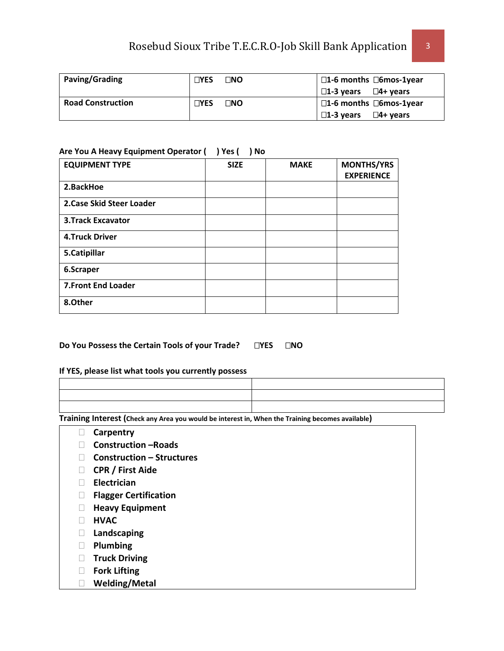# Rosebud Sioux Tribe T.E.C.R.O-Job Skill Bank Application 3

| Paving/Grading           | $\n  TVES\n$ | ר ∩ו | $\square$ 1-6 months $\square$ 6mos-1year |
|--------------------------|--------------|------|-------------------------------------------|
|                          |              |      | $\square$ 1-3 years $\square$ 4+ years    |
| <b>Road Construction</b> | $\n  TVES\n$ | ⊓NO  | $\square$ 1-6 months $\square$ 6mos-1year |
|                          |              |      | $\Box$ 1-3 years $\Box$ 4+ years          |

#### **Are You A Heavy Equipment Operator ( ) Yes ( ) No**

| <b>EQUIPMENT TYPE</b>      | <b>SIZE</b> | <b>MAKE</b> | <b>MONTHS/YRS</b><br><b>EXPERIENCE</b> |
|----------------------------|-------------|-------------|----------------------------------------|
| 2.BackHoe                  |             |             |                                        |
| 2. Case Skid Steer Loader  |             |             |                                        |
| <b>3.Track Excavator</b>   |             |             |                                        |
| <b>4.Truck Driver</b>      |             |             |                                        |
| 5.Catipillar               |             |             |                                        |
| 6.Scraper                  |             |             |                                        |
| <b>7. Front End Loader</b> |             |             |                                        |
| 8.Other                    |             |             |                                        |

### **Do You Possess the Certain Tools of your Trade? YES NO**

#### **If YES, please list what tools you currently possess**

**Training Interest (Check any Area you would be interest in, When the Training becomes available)**

- **Carpentry**
- **Construction –Roads**
- **Construction Structures**
- **CPR / First Aide**
- **Electrician**
- **Flagger Certification**
- **Heavy Equipment**
- **HVAC**
- **Landscaping**
- **Plumbing**
- **Truck Driving**
- **Fork Lifting**
- **Welding/Metal**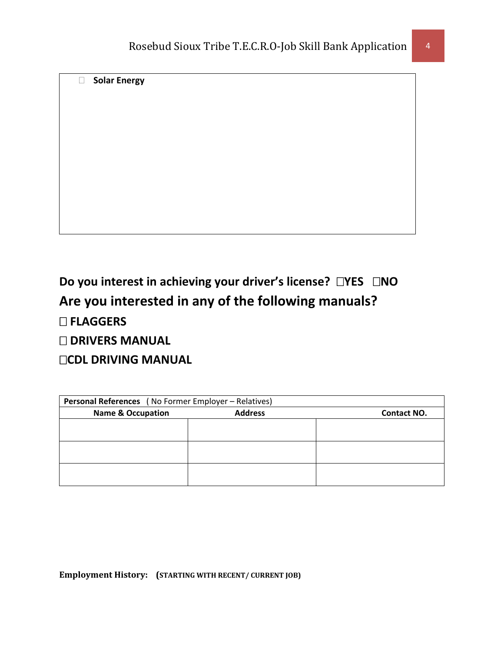**Solar Energy** 

# **Do you interest in achieving your driver's license? □YES □NO Are you interested in any of the following manuals?**

 **FLAGGERS** 

 **DRIVERS MANUAL**

**CDL DRIVING MANUAL** 

| Personal References (No Former Employer - Relatives) |                |                    |  |
|------------------------------------------------------|----------------|--------------------|--|
| <b>Name &amp; Occupation</b>                         | <b>Address</b> | <b>Contact NO.</b> |  |
|                                                      |                |                    |  |
|                                                      |                |                    |  |
|                                                      |                |                    |  |
|                                                      |                |                    |  |
|                                                      |                |                    |  |
|                                                      |                |                    |  |

**Employment History: (STARTING WITH RECENT/ CURRENT JOB)**